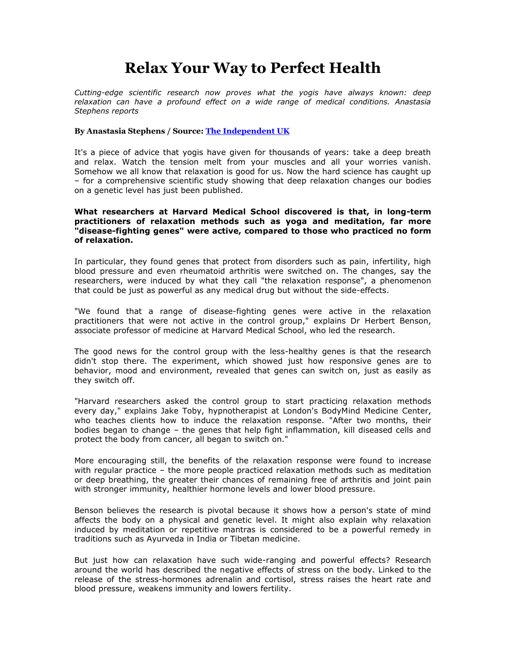# **Relax Your Way to Perfect Health**

*Cutting-edge scientific research now proves what the yogis have always known: deep relaxation can have a profound effect on a wide range of medical conditions. Anastasia Stephens reports*

## **By Anastasia Stephens / Source: [The Independent UK](http://www.independent.co.uk/life-style/health-and-families/features/relax-your-way-to-perfect-health-1763109.html)**

It's a piece of advice that yogis have given for thousands of years: take a deep breath and relax. Watch the tension melt from your muscles and all your worries vanish. Somehow we all know that relaxation is good for us. Now the hard science has caught up – for a comprehensive scientific study showing that deep relaxation changes our bodies on a genetic level has just been published.

## **What researchers at Harvard Medical School discovered is that, in long-term practitioners of relaxation methods such as yoga and meditation, far more "disease-fighting genes" were active, compared to those who practiced no form of relaxation.**

In particular, they found genes that protect from disorders such as pain, infertility, high blood pressure and even rheumatoid arthritis were switched on. The changes, say the researchers, were induced by what they call "the relaxation response", a phenomenon that could be just as powerful as any medical drug but without the side-effects.

"We found that a range of disease-fighting genes were active in the relaxation practitioners that were not active in the control group," explains Dr Herbert Benson, associate professor of medicine at Harvard Medical School, who led the research.

The good news for the control group with the less-healthy genes is that the research didn't stop there. The experiment, which showed just how responsive genes are to behavior, mood and environment, revealed that genes can switch on, just as easily as they switch off.

"Harvard researchers asked the control group to start practicing relaxation methods every day," explains Jake Toby, hypnotherapist at London's BodyMind Medicine Center, who teaches clients how to induce the relaxation response. "After two months, their bodies began to change – the genes that help fight inflammation, kill diseased cells and protect the body from cancer, all began to switch on."

More encouraging still, the benefits of the relaxation response were found to increase with regular practice – the more people practiced relaxation methods such as meditation or deep breathing, the greater their chances of remaining free of arthritis and joint pain with stronger immunity, healthier hormone levels and lower blood pressure.

Benson believes the research is pivotal because it shows how a person's state of mind affects the body on a physical and genetic level. It might also explain why relaxation induced by meditation or repetitive mantras is considered to be a powerful remedy in traditions such as Ayurveda in India or Tibetan medicine.

But just how can relaxation have such wide-ranging and powerful effects? Research around the world has described the negative effects of stress on the body. Linked to the release of the stress-hormones adrenalin and cortisol, stress raises the heart rate and blood pressure, weakens immunity and lowers fertility.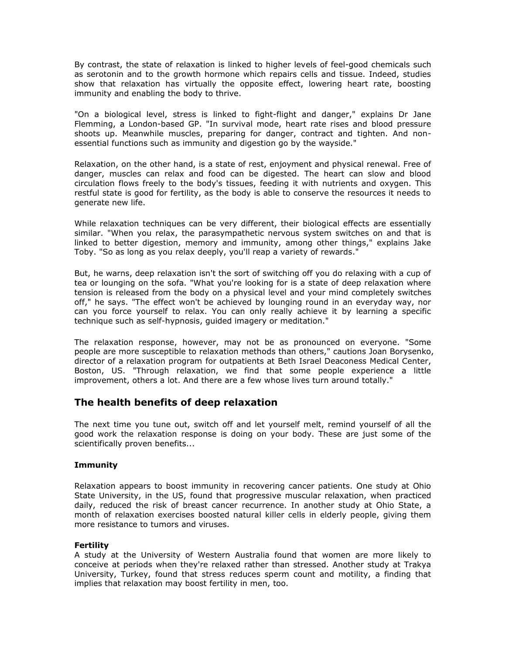By contrast, the state of relaxation is linked to higher levels of feel-good chemicals such as serotonin and to the growth hormone which repairs cells and tissue. Indeed, studies show that relaxation has virtually the opposite effect, lowering heart rate, boosting immunity and enabling the body to thrive.

"On a biological level, stress is linked to fight-flight and danger," explains Dr Jane Flemming, a London-based GP. "In survival mode, heart rate rises and blood pressure shoots up. Meanwhile muscles, preparing for danger, contract and tighten. And nonessential functions such as immunity and digestion go by the wayside."

Relaxation, on the other hand, is a state of rest, enjoyment and physical renewal. Free of danger, muscles can relax and food can be digested. The heart can slow and blood circulation flows freely to the body's tissues, feeding it with nutrients and oxygen. This restful state is good for fertility, as the body is able to conserve the resources it needs to generate new life.

While relaxation techniques can be very different, their biological effects are essentially similar. "When you relax, the parasympathetic nervous system switches on and that is linked to better digestion, memory and immunity, among other things," explains Jake Toby. "So as long as you relax deeply, you'll reap a variety of rewards."

But, he warns, deep relaxation isn't the sort of switching off you do relaxing with a cup of tea or lounging on the sofa. "What you're looking for is a state of deep relaxation where tension is released from the body on a physical level and your mind completely switches off," he says. "The effect won't be achieved by lounging round in an everyday way, nor can you force yourself to relax. You can only really achieve it by learning a specific technique such as self-hypnosis, guided imagery or meditation."

The relaxation response, however, may not be as pronounced on everyone. "Some people are more susceptible to relaxation methods than others," cautions Joan Borysenko, director of a relaxation program for outpatients at Beth Israel Deaconess Medical Center, Boston, US. "Through relaxation, we find that some people experience a little improvement, others a lot. And there are a few whose lives turn around totally."

## **The health benefits of deep relaxation**

The next time you tune out, switch off and let yourself melt, remind yourself of all the good work the relaxation response is doing on your body. These are just some of the scientifically proven benefits...

## **Immunity**

Relaxation appears to boost immunity in recovering cancer patients. One study at Ohio State University, in the US, found that progressive muscular relaxation, when practiced daily, reduced the risk of breast cancer recurrence. In another study at Ohio State, a month of relaxation exercises boosted natural killer cells in elderly people, giving them more resistance to tumors and viruses.

## **Fertility**

A study at the University of Western Australia found that women are more likely to conceive at periods when they're relaxed rather than stressed. Another study at Trakya University, Turkey, found that stress reduces sperm count and motility, a finding that implies that relaxation may boost fertility in men, too.